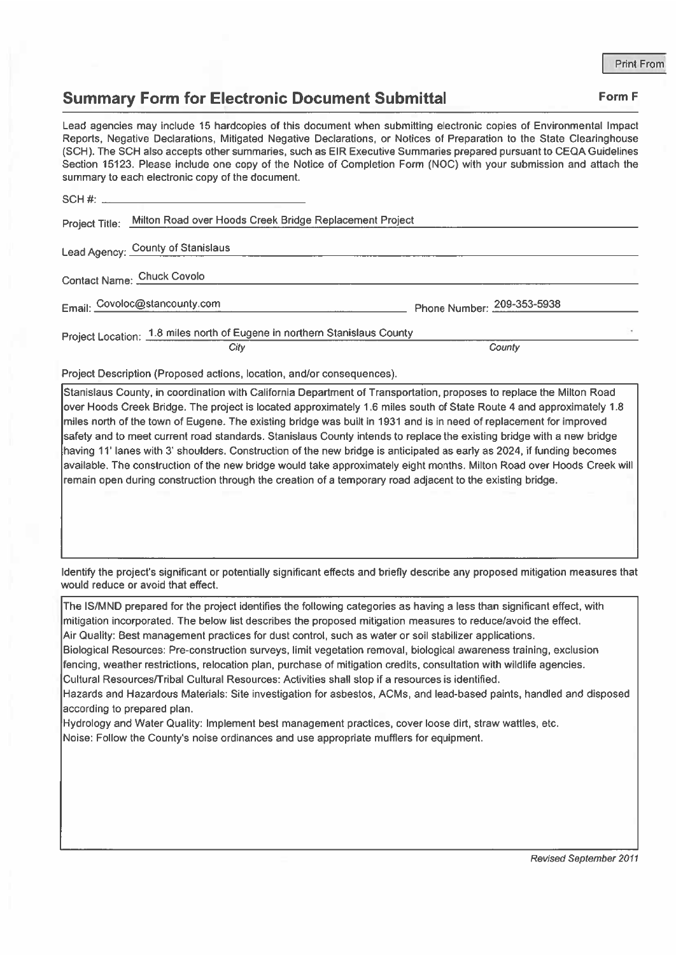## Summary Form for Electronic Document Submittal Form F

Lead agencies may include 15 hardcopies of this document when submitting electronic copies of Environmental Impact Reports, Negative Declarations, Mitigated Negative Declarations, or Notices of Preparation to the State Clearinghouse (SCH). The SCH also accepts other summaries, such as EIR Executive Summaries prepared pursuan<sup>t</sup> to CEQA Guidelines Section 15123. Please include one copy of the Notice of Completion Form (NOC) with your submission and attach the summary to each electronic copy of the document. **Summary Form for Electronic Department Summary Form for Electronic Department Clead agencies may include 15 hardcopies of this (Reports, Negative Declarations, Mitigated Negative (SCH). The SCH also accepts other summarie** 

| Project Title: Milton Road over Hoods Creek Bridge Replacement Project    |                            |  |
|---------------------------------------------------------------------------|----------------------------|--|
| Lead Agency: County of Stanislaus                                         |                            |  |
| Contact Name: Chuck Covolo                                                |                            |  |
| Email: Covoloc@stancounty.com                                             | Phone Number: 209-353-5938 |  |
| Project Location: 1.8 miles north of Eugene in northern Stanislaus County |                            |  |
| City                                                                      | County                     |  |

Project Description (Proposed actions, location, and/or consequences).

Stanislaus County, in coordination with California Department of Transportation, proposes to replace the Milton Road over Hoods Creek Bridge. The project is located approximately 1.6 miles south of State Route 4 and approximately 1.8 miles north of the town of Eugene. The existing bridge was built in 1931 and is in need of replacement for improved safety and to meet current road standards. Stanislaus County intends to replace the existing bridge with <sup>a</sup> new bridge having 11' lanes with 3' shoulders. Construction of the new bridge is anticipated as early as 2024, if funding becomes available. The construction of the new bridge would take approximately eight months. Milton Road over Hoods Creek will remain open during construction through the creation of <sup>a</sup> temporary road adjacent to the existing bridge.

Identify the project's significant or potentially significant effects and briefly describe any proposed mitigation measures that would reduce or avoid that effect.

The IS/MND prepared for the project identifies the following categories as having <sup>a</sup> less than significant effect, with mitigation incorporated. The below list describes the proposed mitigation measures to reduce/avoid the effect. Air Quality: Best managemen<sup>t</sup> practices for dust control, such as water or soil stabilizer applications.

Biological Resources: Pre-construction surveys, limit vegetation removal, biological awareness training, exclusion fencing, weather restrictions, relocation plan, purchase of mitigation credits, consultation with wildlife agencies. Cultural Resources/Tribal Cultural Resources: Activities shall stop if <sup>a</sup> resources is identified.

Hazards and Hazardous Materials: Site investigation for asbestos, ACMs, and lead-based paints, handled and disposed

according to prepared plan.

Hydrology and Water Quality: Implement best managemen<sup>t</sup> practices, cover loose dirt, straw wattles, etc.

Noise: Follow the County's noise ordinances and use appropriate mufflers for equipment.